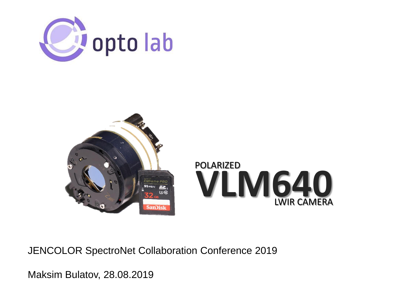





JENCOLOR SpectroNet Collaboration Conference 2019

Maksim Bulatov, 28.08.2019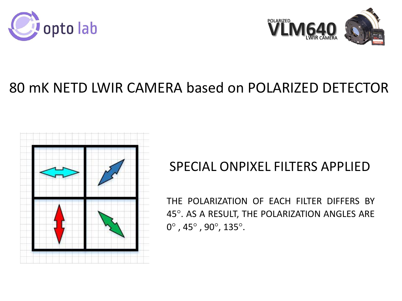



## 80 mK NETD LWIR CAMERA based on POLARIZED DETECTOR



## SPECIAL ONPIXEL FILTERS APPLIED

THE POLARIZATION OF EACH FILTER DIFFERS BY 45°. AS A RESULT, THE POLARIZATION ANGLES ARE  $0^{\circ}$  , 45 $^{\circ}$  , 90 $^{\circ}$ , 135 $^{\circ}$ .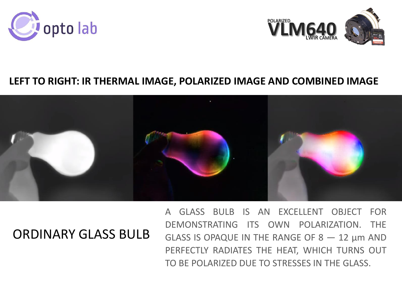



#### **LEFT TO RIGHT: IR THERMAL IMAGE, POLARIZED IMAGE AND COMBINED IMAGE**



## ORDINARY GLASS BULB

A GLASS BULB IS AN EXCELLENT OBJECT FOR DEMONSTRATING ITS OWN POLARIZATION. THE GLASS IS OPAQUE IN THE RANGE OF  $8 - 12$  µm AND PERFECTLY RADIATES THE HEAT, WHICH TURNS OUT TO BE POLARIZED DUE TO STRESSES IN THE GLASS.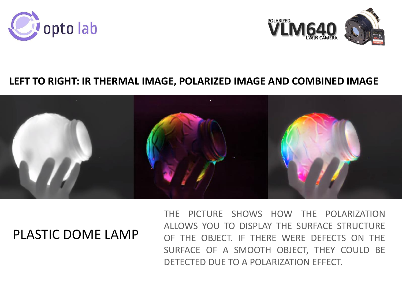



#### **LEFT TO RIGHT: IR THERMAL IMAGE, POLARIZED IMAGE AND COMBINED IMAGE**



### PLASTIC DOME LAMP

THE PICTURE SHOWS HOW THE POLARIZATION ALLOWS YOU TO DISPLAY THE SURFACE STRUCTURE OF THE OBJECT. IF THERE WERE DEFECTS ON THE SURFACE OF A SMOOTH OBJECT, THEY COULD BE DETECTED DUE TO A POLARIZATION EFFECT.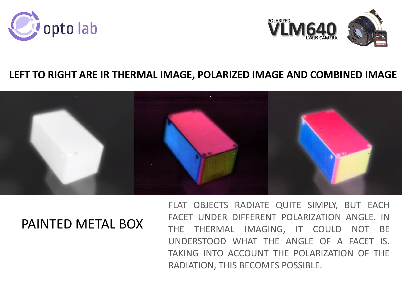



#### **LEFT TO RIGHT ARE IR THERMAL IMAGE, POLARIZED IMAGE AND COMBINED IMAGE**



## PAINTED METAL BOX

FLAT OBJECTS RADIATE QUITE SIMPLY, BUT EACH FACET UNDER DIFFERENT POLARIZATION ANGLE. IN THE THERMAL IMAGING, IT COULD NOT BE UNDERSTOOD WHAT THE ANGLE OF A FACET IS. TAKING INTO ACCOUNT THE POLARIZATION OF THE RADIATION, THIS BECOMES POSSIBLE.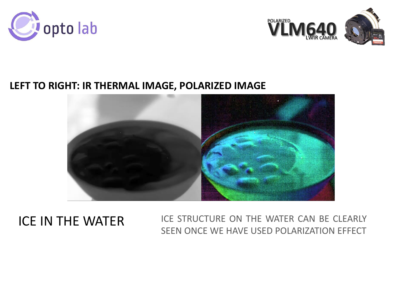



#### **LEFT TO RIGHT: IR THERMAL IMAGE, POLARIZED IMAGE**



ICE IN THE WATER ICE STRUCTURE ON THE WATER CAN BE CLEARLY SEEN ONCE WE HAVE USED POLARIZATION EFFECT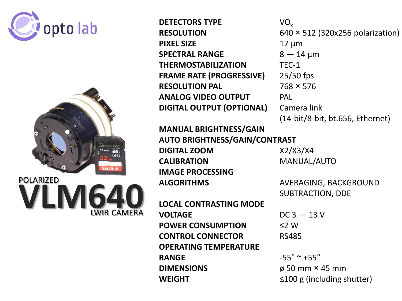





**DETECTORS TYPE** VO<sup>x</sup> **PIXEL SIZE** 17 µm **SPECTRAL RANGE** 8 — 14 µm **THERMOSTABILIZATION** TEC-1 **FRAME RATE (PROGRESSIVE)** 25/50 fps **RESOLUTION PAL** 768 × 576 **ANALOG VIDEO OUTPUT** PAL **DIGITAL OUTPUT (OPTIONAL)** Camera link

**MANUAL BRIGHTNESS/GAIN AUTO BRIGHTNESS/GAIN/CONTRAST DIGITAL ZOOM** X2/X3/X4 **CALIBRATION** MANUAL/AUTO **IMAGE PROCESSING ALGORITHMS** AVERAGING, BACKGROUND

**LOCAL CONTRASTING MODE VOLTAGE** DC 3 — 13 V **POWER CONSUMPTION** ≤2 W **CONTROL CONNECTOR** RS485 **OPERATING TEMPERATURE RANGE**  $-55^\circ \approx +55^\circ$ **DIMENSIONS** ø 50 mm × 45 mm **WEIGHT**  $≤100$  g (including shutter)

**RESOLUTION** 640 × 512 (320x256 polarization) (14-bit/8-bit, bt.656, Ethernet)

SUBTRACTION, DDE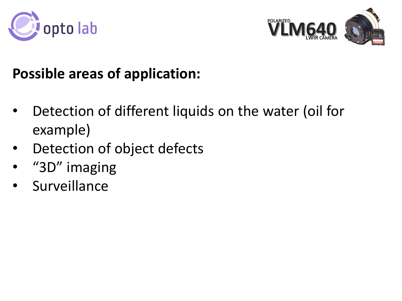



# **Possible areas of application:**

- Detection of different liquids on the water (oil for example)
- Detection of object defects
- "3D" imaging
- **Surveillance**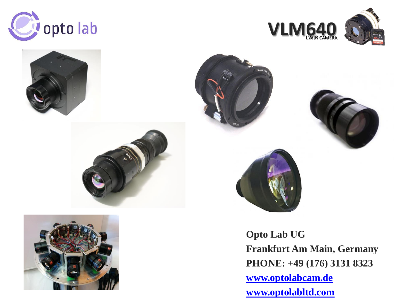















**Opto Lab UG Frankfurt Am Main, Germany PHONE: +49 (176) 3131 8323 [www.optolabcam.de](http://www.optolabcam.de/) [www.optolabltd.com](http://www.optolabltd.com/)**